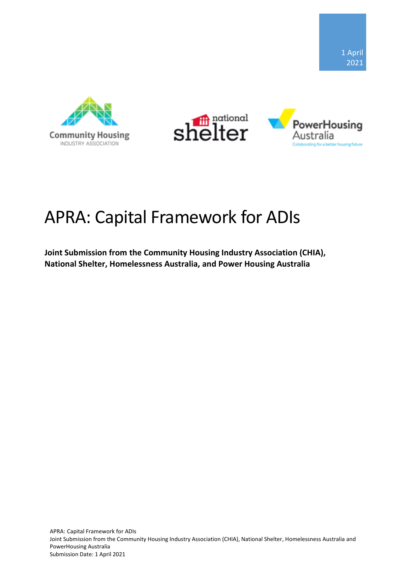





# APRA: Capital Framework for ADIs

**Joint Submission from the Community Housing Industry Association (CHIA), National Shelter, Homelessness Australia, and Power Housing Australia**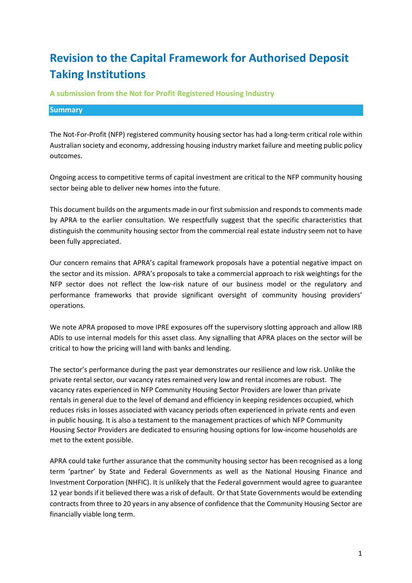# **Revision to the Capital Framework for Authorised Deposit Taking Institutions**

**A submission from the Not for Profit Registered Housing Industry**

#### **Summary**

The Not-For-Profit (NFP) registered community housing sector has had a long-term critical role within Australian society and economy, addressing housing industry market failure and meeting public policy outcomes.

Ongoing access to competitive terms of capital investment are critical to the NFP community housing sector being able to deliver new homes into the future.

This document builds on the arguments made in our first submission and responds to comments made by APRA to the earlier consultation. We respectfully suggest that the specific characteristics that distinguish the community housing sector from the commercial real estate industry seem not to have been fully appreciated.

Our concern remains that APRA's capital framework proposals have a potential negative impact on the sector and its mission. APRA's proposals to take a commercial approach to risk weightings for the NFP sector does not reflect the low-risk nature of our business model or the regulatory and performance frameworks that provide significant oversight of community housing providers' operations.

We note APRA proposed to move IPRE exposures off the supervisory slotting approach and allow IRB ADIs to use internal models for this asset class. Any signalling that APRA places on the sector will be critical to how the pricing will land with banks and lending.

The sector's performance during the past year demonstrates our resilience and low risk. Unlike the private rental sector, our vacancy rates remained very low and rental incomes are robust. The vacancy rates experienced in NFP Community Housing Sector Providers are lower than private rentals in general due to the level of demand and efficiency in keeping residences occupied, which reduces risks in losses associated with vacancy periods often experienced in private rents and even in public housing. It is also a testament to the management practices of which NFP Community Housing Sector Providers are dedicated to ensuring housing options for low-income households are met to the extent possible.

APRA could take further assurance that the community housing sector has been recognised as a long term 'partner' by State and Federal Governments as well as the National Housing Finance and Investment Corporation (NHFIC). It is unlikely that the Federal government would agree to guarantee 12 year bonds if it believed there was a risk of default. Or that State Governments would be extending contracts from three to 20 years in any absence of confidence that the Community Housing Sector are financially viable long term.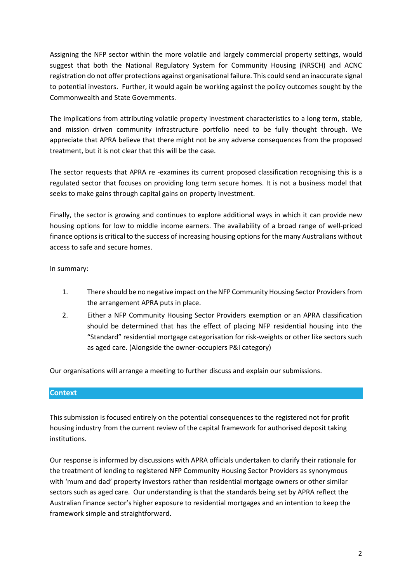Assigning the NFP sector within the more volatile and largely commercial property settings, would suggest that both the National Regulatory System for Community Housing (NRSCH) and ACNC registration do not offer protections against organisational failure. This could send an inaccurate signal to potential investors. Further, it would again be working against the policy outcomes sought by the Commonwealth and State Governments.

The implications from attributing volatile property investment characteristics to a long term, stable, and mission driven community infrastructure portfolio need to be fully thought through. We appreciate that APRA believe that there might not be any adverse consequences from the proposed treatment, but it is not clear that this will be the case.

The sector requests that APRA re -examines its current proposed classification recognising this is a regulated sector that focuses on providing long term secure homes. It is not a business model that seeks to make gains through capital gains on property investment.

Finally, the sector is growing and continues to explore additional ways in which it can provide new housing options for low to middle income earners. The availability of a broad range of well-priced finance options is critical to the success of increasing housing options for the many Australians without access to safe and secure homes.

In summary:

- 1. There should be no negative impact on the NFP Community Housing Sector Providers from the arrangement APRA puts in place.
- 2. Either a NFP Community Housing Sector Providers exemption or an APRA classification should be determined that has the effect of placing NFP residential housing into the "Standard" residential mortgage categorisation for risk-weights or other like sectors such as aged care. (Alongside the owner-occupiers P&I category)

Our organisations will arrange a meeting to further discuss and explain our submissions.

### **Context**

This submission is focused entirely on the potential consequences to the registered not for profit housing industry from the current review of the capital framework for authorised deposit taking institutions.

Our response is informed by discussions with APRA officials undertaken to clarify their rationale for the treatment of lending to registered NFP Community Housing Sector Providers as synonymous with 'mum and dad' property investors rather than residential mortgage owners or other similar sectors such as aged care. Our understanding is that the standards being set by APRA reflect the Australian finance sector's higher exposure to residential mortgages and an intention to keep the framework simple and straightforward.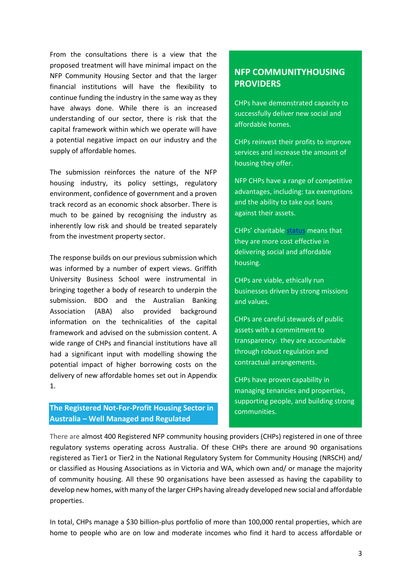From the consultations there is a view that the proposed treatment will have minimal impact on the NFP Community Housing Sector and that the larger financial institutions will have the flexibility to continue funding the industry in the same way as they have always done. While there is an increased understanding of our sector, there is risk that the capital framework within which we operate will have a potential negative impact on our industry and the supply of affordable homes.

The submission reinforces the nature of the NFP housing industry, its policy settings, regulatory environment, confidence of government and a proven track record as an economic shock absorber. There is much to be gained by recognising the industry as inherently low risk and should be treated separately from the investment property sector.

The response builds on our previous submission which was informed by a number of expert views. Griffith University Business School were instrumental in bringing together a body of research to underpin the submission. BDO and the Australian Banking Association (ABA) also provided background information on the technicalities of the capital framework and advised on the submission content. A wide range of CHPs and financial institutions have all had a significant input with modelling showing the potential impact of higher borrowing costs on the delivery of new affordable homes set out in Appendix 1.

**The Registered Not-For-Profit Housing Sector in Australia – Well Managed and Regulated**

# **NFP COMMUNITYHOUSING PROVIDERS**

CHPs have demonstrated capacity to successfully deliver new social and affordable homes.

CHPs reinvest their profits to improve services and increase the amount of housing they offer.

NFP CHPs have a range of competitive advantages, including: tax exemptions and the ability to take out loans against their assets.

CHPs' charitable [status](https://cityfutures.be.unsw.edu.au/research/projects/how-can-australian-build-rent-product-contribute-urban-renewal-and-affordable-housing-supply/) means that they are more cost effective in delivering social and affordable housing.

CHPs are viable, ethically run businesses driven by strong missions and values.

CHPs are careful stewards of public assets with a commitment to transparency: they are accountable through robust regulation and contractual arrangements.

CHPs have proven capability in managing tenancies and properties, supporting people, and building strong communities.

There are almost 400 Registered NFP community housing providers (CHPs) registered in one of three regulatory systems operating across Australia. Of these CHPs there are around 90 organisations registered as Tier1 or Tier2 in the National Regulatory System for Community Housing (NRSCH) and/ or classified as Housing Associations as in Victoria and WA, which own and/ or manage the majority of community housing. All these 90 organisations have been assessed as having the capability to develop new homes, with many of the larger CHPs having already developed new social and affordable properties.

In total, CHPs manage a \$30 billion-plus portfolio of more than 100,000 rental properties, which are home to people who are on low and moderate incomes who find it hard to access affordable or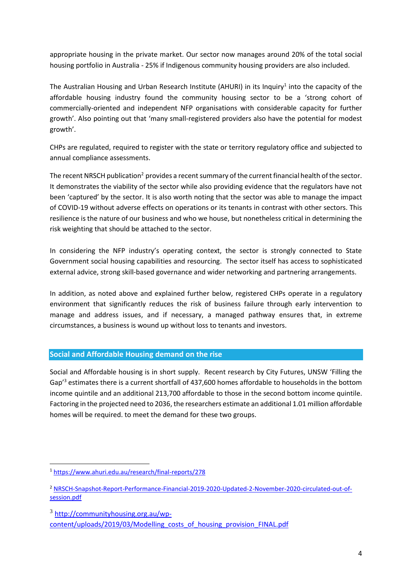appropriate housing in the private market. Our sector now manages around 20% of the total social housing portfolio in Australia - 25% if Indigenous community housing providers are also included.

The Australian Housing and Urban Research Institute (AHURI) in its Inquiry<sup>1</sup> into the capacity of the affordable housing industry found the community housing sector to be a 'strong cohort of commercially-oriented and independent NFP organisations with considerable capacity for further growth'. Also pointing out that 'many small-registered providers also have the potential for modest growth'.

CHPs are regulated, required to register with the state or territory regulatory office and subjected to annual compliance assessments.

The recent NRSCH publication<sup>2</sup> provides a recent summary of the current financial health of the sector. It demonstrates the viability of the sector while also providing evidence that the regulators have not been 'captured' by the sector. It is also worth noting that the sector was able to manage the impact of COVID-19 without adverse effects on operations or its tenants in contrast with other sectors. This resilience is the nature of our business and who we house, but nonetheless critical in determining the risk weighting that should be attached to the sector.

In considering the NFP industry's operating context, the sector is strongly connected to State Government social housing capabilities and resourcing. The sector itself has access to sophisticated external advice, strong skill-based governance and wider networking and partnering arrangements.

In addition, as noted above and explained further below, registered CHPs operate in a regulatory environment that significantly reduces the risk of business failure through early intervention to manage and address issues, and if necessary, a managed pathway ensures that, in extreme circumstances, a business is wound up without loss to tenants and investors.

### **Social and Affordable Housing demand on the rise**

Social and Affordable housing is in short supply. Recent research by City Futures, UNSW 'Filling the Gap'<sup>3</sup> estimates there is a current shortfall of 437,600 homes affordable to households in the bottom income quintile and an additional 213,700 affordable to those in the second bottom income quintile. Factoring in the projected need to 2036, the researchers estimate an additional 1.01 million affordable homes will be required. to meet the demand for these two groups.

3 [http://communityhousing.org.au/wp](http://communityhousing.org.au/wp-content/uploads/2019/03/Modelling_costs_of_housing_provision_FINAL.pdf)[content/uploads/2019/03/Modelling\\_costs\\_of\\_housing\\_provision\\_FINAL.pdf](http://communityhousing.org.au/wp-content/uploads/2019/03/Modelling_costs_of_housing_provision_FINAL.pdf)

<sup>1</sup> <https://www.ahuri.edu.au/research/final-reports/278>

<sup>2</sup> [NRSCH-Snapshot-Report-Performance-Financial-2019-2020-Updated-2-November-2020-circulated-out-of](https://www.nrsch.gov.au/__data/assets/pdf_file/0003/794352/NRSCH-Snapshot-Report-Performance-Financial-2019-2020-Updated-2-November-2020-circulated-out-of-session.pdf)[session.pdf](https://www.nrsch.gov.au/__data/assets/pdf_file/0003/794352/NRSCH-Snapshot-Report-Performance-Financial-2019-2020-Updated-2-November-2020-circulated-out-of-session.pdf)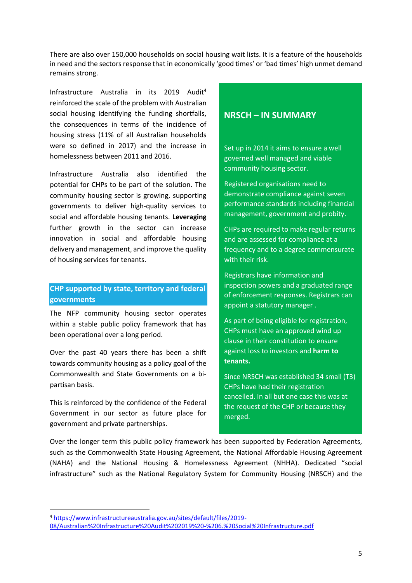There are also over 150,000 households on social housing wait lists. It is a feature of the households in need and the sectors response that in economically 'good times' or 'bad times' high unmet demand remains strong.

Infrastructure Australia in its 2019 Audit<sup>4</sup> reinforced the scale of the problem with Australian social housing identifying the funding shortfalls, the consequences in terms of the incidence of housing stress (11% of all Australian households were so defined in 2017) and the increase in homelessness between 2011 and 2016.

Infrastructure Australia also identified the potential for CHPs to be part of the solution. The community housing sector is growing, supporting governments to deliver high-quality services to social and affordable housing tenants. **Leveraging** further growth in the sector can increase innovation in social and affordable housing delivery and management, and improve the quality of housing services for tenants.

## **CHP supported by state, territory and federal governments**

The NFP community housing sector operates within a stable public policy framework that has been operational over a long period.

Over the past 40 years there has been a shift towards community housing as a policy goal of the Commonwealth and State Governments on a bipartisan basis.

This is reinforced by the confidence of the Federal Government in our sector as future place for government and private partnerships.

# **NRSCH – IN SUMMARY**

Set up in 2014 it aims to ensure a well governed well managed and viable community housing sector.

Registered organisations need to demonstrate compliance against seven performance standards including financial management, government and probity.

CHPs are required to make regular returns and are assessed for compliance at a frequency and to a degree commensurate with their risk.

Registrars have information and inspection powers and a graduated range of enforcement responses. Registrars can appoint a statutory manager .

As part of being eligible for registration, CHPs must have an approved wind up clause in their constitution to ensure against loss to investors and **harm to tenants.**

Since NRSCH was established 34 small (T3) CHPs have had their registration cancelled. In all but one case this was at the request of the CHP or because they merged.

Over the longer term this public policy framework has been supported by Federation Agreements, such as the Commonwealth State Housing Agreement, the National Affordable Housing Agreement (NAHA) and the National Housing & Homelessness Agreement (NHHA). Dedicated "social infrastructure" such as the National Regulatory System for Community Housing (NRSCH) and the

<sup>4</sup> [https://www.infrastructureaustralia.gov.au/sites/default/files/2019-](https://www.infrastructureaustralia.gov.au/sites/default/files/2019-08/Australian%20Infrastructure%20Audit%202019%20-%206.%20Social%20Infrastructure.pdf)

[<sup>08/</sup>Australian%20Infrastructure%20Audit%202019%20-%206.%20Social%20Infrastructure.pdf](https://www.infrastructureaustralia.gov.au/sites/default/files/2019-08/Australian%20Infrastructure%20Audit%202019%20-%206.%20Social%20Infrastructure.pdf)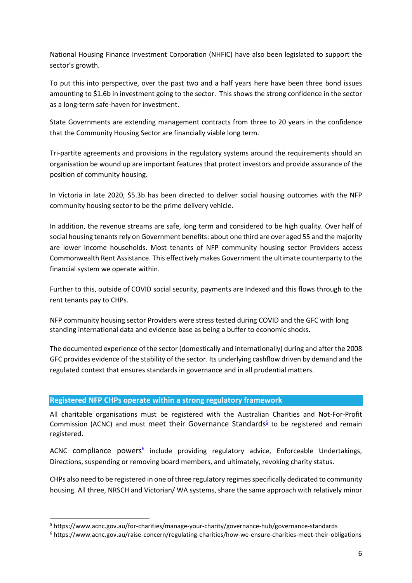National Housing Finance Investment Corporation (NHFIC) have also been legislated to support the sector's growth.

To put this into perspective, over the past two and a half years here have been three bond issues amounting to \$1.6b in investment going to the sector. This shows the strong confidence in the sector as a long-term safe-haven for investment.

State Governments are extending management contracts from three to 20 years in the confidence that the Community Housing Sector are financially viable long term.

Tri-partite agreements and provisions in the regulatory systems around the requirements should an organisation be wound up are important features that protect investors and provide assurance of the position of community housing.

In Victoria in late 2020, \$5.3b has been directed to deliver social housing outcomes with the NFP community housing sector to be the prime delivery vehicle.

In addition, the revenue streams are safe, long term and considered to be high quality. Over half of social housing tenants rely on Government benefits: about one third are over aged 55 and the majority are lower income households. Most tenants of NFP community housing sector Providers access Commonwealth Rent Assistance. This effectively makes Government the ultimate counterparty to the financial system we operate within.

Further to this, outside of COVID social security, payments are Indexed and this flows through to the rent tenants pay to CHPs.

NFP community housing sector Providers were stress tested during COVID and the GFC with long standing international data and evidence base as being a buffer to economic shocks.

The documented experience of the sector (domestically and internationally) during and after the 2008 GFC provides evidence of the stability of the sector. Its underlying cashflow driven by demand and the regulated context that ensures standards in governance and in all prudential matters.

### **Registered NFP CHPs operate within a strong regulatory framework**

All charitable organisations must be registered with the Australian Charities and Not-For-Profit Commission (ACNC) and must meet their Governance Standards $5$  to be registered and remain registered.

ACNC compliance powers<sup>6</sup> include providing regulatory advice, Enforceable Undertakings, Directions, suspending or removing board members, and ultimately, revoking charity status.

CHPs also need to be registered in one of three regulatory regimes specifically dedicated to community housing. All three, NRSCH and Victorian/ WA systems, share the same approach with relatively minor

<sup>5</sup> https://www.acnc.gov.au/for-charities/manage-your-charity/governance-hub/governance-standards

<sup>6</sup> https://www.acnc.gov.au/raise-concern/regulating-charities/how-we-ensure-charities-meet-their-obligations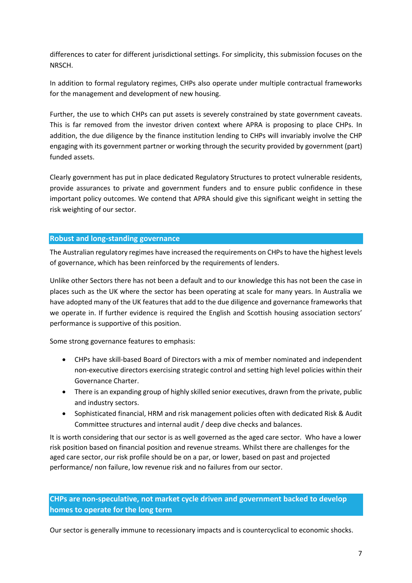differences to cater for different jurisdictional settings. For simplicity, this submission focuses on the NRSCH.

In addition to formal regulatory regimes, CHPs also operate under multiple contractual frameworks for the management and development of new housing.

Further, the use to which CHPs can put assets is severely constrained by state government caveats. This is far removed from the investor driven context where APRA is proposing to place CHPs. In addition, the due diligence by the finance institution lending to CHPs will invariably involve the CHP engaging with its government partner or working through the security provided by government (part) funded assets.

Clearly government has put in place dedicated Regulatory Structures to protect vulnerable residents, provide assurances to private and government funders and to ensure public confidence in these important policy outcomes. We contend that APRA should give this significant weight in setting the risk weighting of our sector.

### **Robust and long-standing governance**

The Australian regulatory regimes have increased the requirements on CHPs to have the highest levels of governance, which has been reinforced by the requirements of lenders.

Unlike other Sectors there has not been a default and to our knowledge this has not been the case in places such as the UK where the sector has been operating at scale for many years. In Australia we have adopted many of the UK features that add to the due diligence and governance frameworks that we operate in. If further evidence is required the English and Scottish housing association sectors' performance is supportive of this position.

Some strong governance features to emphasis:

- CHPs have skill-based Board of Directors with a mix of member nominated and independent non-executive directors exercising strategic control and setting high level policies within their Governance Charter.
- There is an expanding group of highly skilled senior executives, drawn from the private, public and industry sectors.
- Sophisticated financial, HRM and risk management policies often with dedicated Risk & Audit Committee structures and internal audit / deep dive checks and balances.

It is worth considering that our sector is as well governed as the aged care sector. Who have a lower risk position based on financial position and revenue streams. Whilst there are challenges for the aged care sector, our risk profile should be on a par, or lower, based on past and projected performance/ non failure, low revenue risk and no failures from our sector.

**CHPs are non-speculative, not market cycle driven and government backed to develop homes to operate for the long term**

Our sector is generally immune to recessionary impacts and is countercyclical to economic shocks.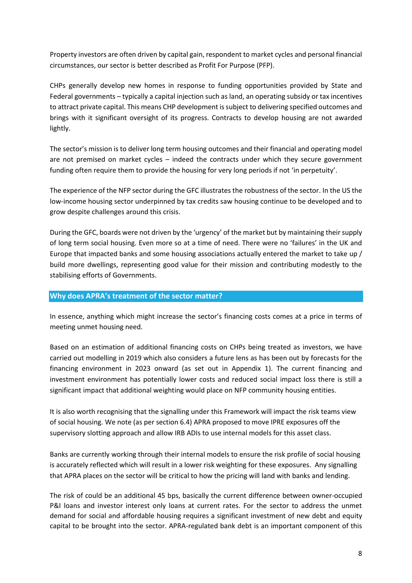Property investors are often driven by capital gain, respondent to market cycles and personal financial circumstances, our sector is better described as Profit For Purpose (PFP).

CHPs generally develop new homes in response to funding opportunities provided by State and Federal governments – typically a capital injection such as land, an operating subsidy or tax incentives to attract private capital. This means CHP development is subject to delivering specified outcomes and brings with it significant oversight of its progress. Contracts to develop housing are not awarded lightly.

The sector's mission is to deliver long term housing outcomes and their financial and operating model are not premised on market cycles – indeed the contracts under which they secure government funding often require them to provide the housing for very long periods if not 'in perpetuity'.

The experience of the NFP sector during the GFC illustrates the robustness of the sector. In the US the low-income housing sector underpinned by tax credits saw housing continue to be developed and to grow despite challenges around this crisis.

During the GFC, boards were not driven by the 'urgency' of the market but by maintaining their supply of long term social housing. Even more so at a time of need. There were no 'failures' in the UK and Europe that impacted banks and some housing associations actually entered the market to take up / build more dwellings, representing good value for their mission and contributing modestly to the stabilising efforts of Governments.

### **Why does APRA's treatment of the sector matter?**

In essence, anything which might increase the sector's financing costs comes at a price in terms of meeting unmet housing need.

Based on an estimation of additional financing costs on CHPs being treated as investors, we have carried out modelling in 2019 which also considers a future lens as has been out by forecasts for the financing environment in 2023 onward (as set out in Appendix 1). The current financing and investment environment has potentially lower costs and reduced social impact loss there is still a significant impact that additional weighting would place on NFP community housing entities.

It is also worth recognising that the signalling under this Framework will impact the risk teams view of social housing. We note (as per section 6.4) APRA proposed to move IPRE exposures off the supervisory slotting approach and allow IRB ADIs to use internal models for this asset class.

Banks are currently working through their internal models to ensure the risk profile of social housing is accurately reflected which will result in a lower risk weighting for these exposures. Any signalling that APRA places on the sector will be critical to how the pricing will land with banks and lending.

The risk of could be an additional 45 bps, basically the current difference between owner-occupied P&I loans and investor interest only loans at current rates. For the sector to address the unmet demand for social and affordable housing requires a significant investment of new debt and equity capital to be brought into the sector. APRA-regulated bank debt is an important component of this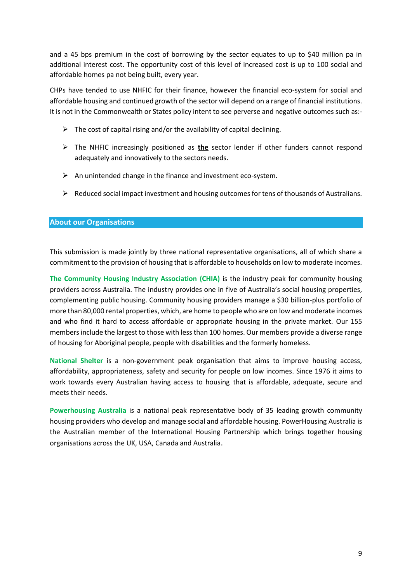and a 45 bps premium in the cost of borrowing by the sector equates to up to \$40 million pa in additional interest cost. The opportunity cost of this level of increased cost is up to 100 social and affordable homes pa not being built, every year.

CHPs have tended to use NHFIC for their finance, however the financial eco-system for social and affordable housing and continued growth of the sector will depend on a range of financial institutions. It is not in the Commonwealth or States policy intent to see perverse and negative outcomes such as:-

- $\triangleright$  The cost of capital rising and/or the availability of capital declining.
- ➢ The NHFIC increasingly positioned as **the** sector lender if other funders cannot respond adequately and innovatively to the sectors needs.
- $\triangleright$  An unintended change in the finance and investment eco-system.
- $\triangleright$  Reduced social impact investment and housing outcomes for tens of thousands of Australians.

#### **About our Organisations**

This submission is made jointly by three national representative organisations, all of which share a commitment to the provision of housing that is affordable to households on low to moderate incomes.

**The Community Housing Industry Association (CHIA)** is the industry peak for community housing providers across Australia. The industry provides one in five of Australia's social housing properties, complementing public housing. Community housing providers manage a \$30 billion-plus portfolio of more than 80,000 rental properties, which, are home to people who are on low and moderate incomes and who find it hard to access affordable or appropriate housing in the private market. Our 155 members include the largest to those with less than 100 homes. Our members provide a diverse range of housing for Aboriginal people, people with disabilities and the formerly homeless.

**National Shelter** is a non-government peak organisation that aims to improve housing access, affordability, appropriateness, safety and security for people on low incomes. Since 1976 it aims to work towards every Australian having access to housing that is affordable, adequate, secure and meets their needs.

**Powerhousing Australia** is a national peak representative body of 35 leading growth community housing providers who develop and manage social and affordable housing. PowerHousing Australia is the Australian member of the International Housing Partnership which brings together housing organisations across the UK, USA, Canada and Australia.